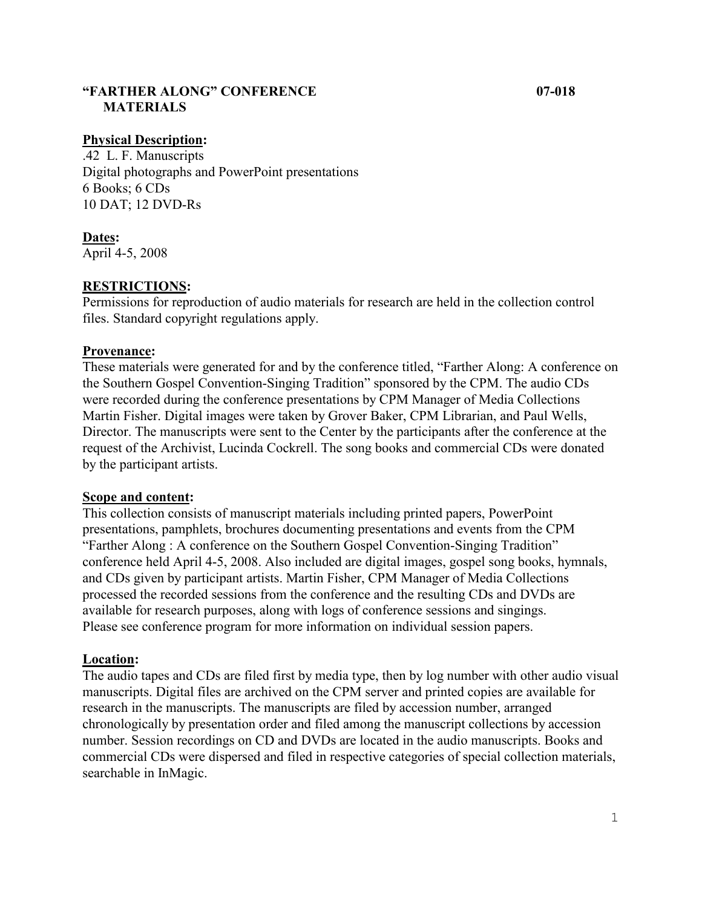## **"FARTHER ALONG" CONFERENCE 07-018 MATERIALS**

#### **Physical Description:**

.42 L. F. Manuscripts Digital photographs and PowerPoint presentations 6 Books; 6 CDs 10 DAT; 12 DVD-Rs

## **Dates:**

April 4-5, 2008

### **RESTRICTIONS:**

Permissions for reproduction of audio materials for research are held in the collection control files. Standard copyright regulations apply.

#### **Provenance:**

These materials were generated for and by the conference titled, "Farther Along: A conference on the Southern Gospel Convention-Singing Tradition" sponsored by the CPM. The audio CDs were recorded during the conference presentations by CPM Manager of Media Collections Martin Fisher. Digital images were taken by Grover Baker, CPM Librarian, and Paul Wells, Director. The manuscripts were sent to the Center by the participants after the conference at the request of the Archivist, Lucinda Cockrell. The song books and commercial CDs were donated by the participant artists.

#### **Scope and content:**

This collection consists of manuscript materials including printed papers, PowerPoint presentations, pamphlets, brochures documenting presentations and events from the CPM "Farther Along : A conference on the Southern Gospel Convention-Singing Tradition" conference held April 4-5, 2008. Also included are digital images, gospel song books, hymnals, and CDs given by participant artists. Martin Fisher, CPM Manager of Media Collections processed the recorded sessions from the conference and the resulting CDs and DVDs are available for research purposes, along with logs of conference sessions and singings. Please see conference program for more information on individual session papers.

#### **Location:**

The audio tapes and CDs are filed first by media type, then by log number with other audio visual manuscripts. Digital files are archived on the CPM server and printed copies are available for research in the manuscripts. The manuscripts are filed by accession number, arranged chronologically by presentation order and filed among the manuscript collections by accession number. Session recordings on CD and DVDs are located in the audio manuscripts. Books and commercial CDs were dispersed and filed in respective categories of special collection materials, searchable in InMagic.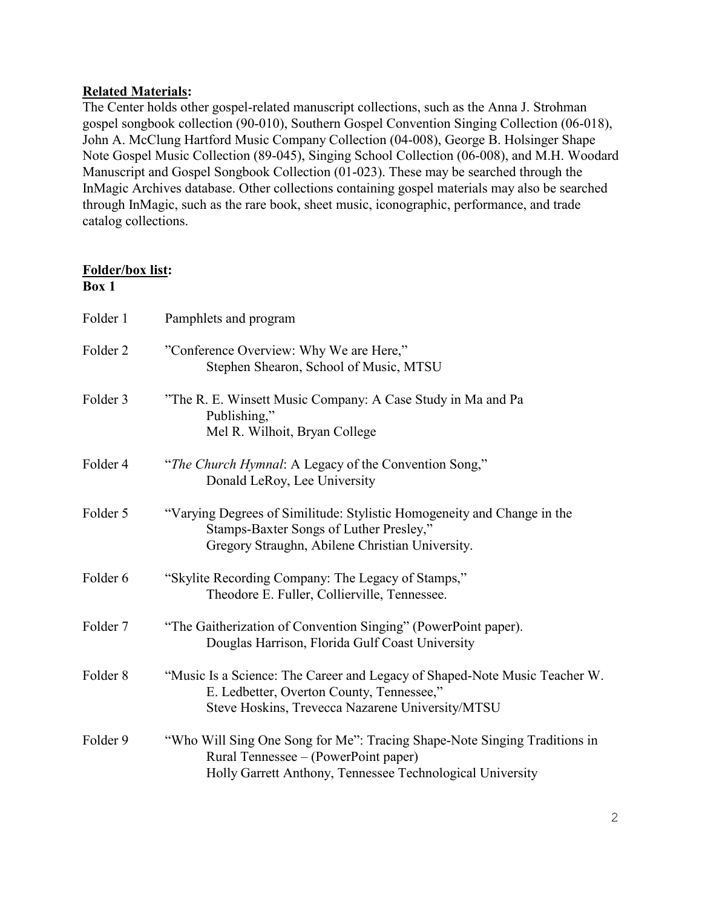# **Related Materials:**

The Center holds other gospel-related manuscript collections, such as the Anna J. Strohman gospel songbook collection (90-010), Southern Gospel Convention Singing Collection (06-018), John A. McClung Hartford Music Company Collection (04-008), George B. Holsinger Shape Note Gospel Music Collection (89-045), Singing School Collection (06-008), and M.H. Woodard Manuscript and Gospel Songbook Collection (01-023). These may be searched through the InMagic Archives database. Other collections containing gospel materials may also be searched through InMagic, such as the rare book, sheet music, iconographic, performance, and trade catalog collections.

## **Folder/box list: Box 1**

| Folder 1            | Pamphlets and program                                                                                                                                                          |
|---------------------|--------------------------------------------------------------------------------------------------------------------------------------------------------------------------------|
| Folder <sub>2</sub> | "Conference Overview: Why We are Here,"<br>Stephen Shearon, School of Music, MTSU                                                                                              |
| Folder 3            | "The R. E. Winsett Music Company: A Case Study in Ma and Pa<br>Publishing,"<br>Mel R. Wilhoit, Bryan College                                                                   |
| Folder 4            | "The Church Hymnal: A Legacy of the Convention Song,"<br>Donald LeRoy, Lee University                                                                                          |
| Folder 5            | "Varying Degrees of Similitude: Stylistic Homogeneity and Change in the<br>Stamps-Baxter Songs of Luther Presley,"<br>Gregory Straughn, Abilene Christian University.          |
| Folder 6            | "Skylite Recording Company: The Legacy of Stamps,"<br>Theodore E. Fuller, Collierville, Tennessee.                                                                             |
| Folder 7            | "The Gaitherization of Convention Singing" (PowerPoint paper).<br>Douglas Harrison, Florida Gulf Coast University                                                              |
| Folder <sub>8</sub> | "Music Is a Science: The Career and Legacy of Shaped-Note Music Teacher W.<br>E. Ledbetter, Overton County, Tennessee,"<br>Steve Hoskins, Trevecca Nazarene University/MTSU    |
| Folder 9            | "Who Will Sing One Song for Me": Tracing Shape-Note Singing Traditions in<br>Rural Tennessee – (PowerPoint paper)<br>Holly Garrett Anthony, Tennessee Technological University |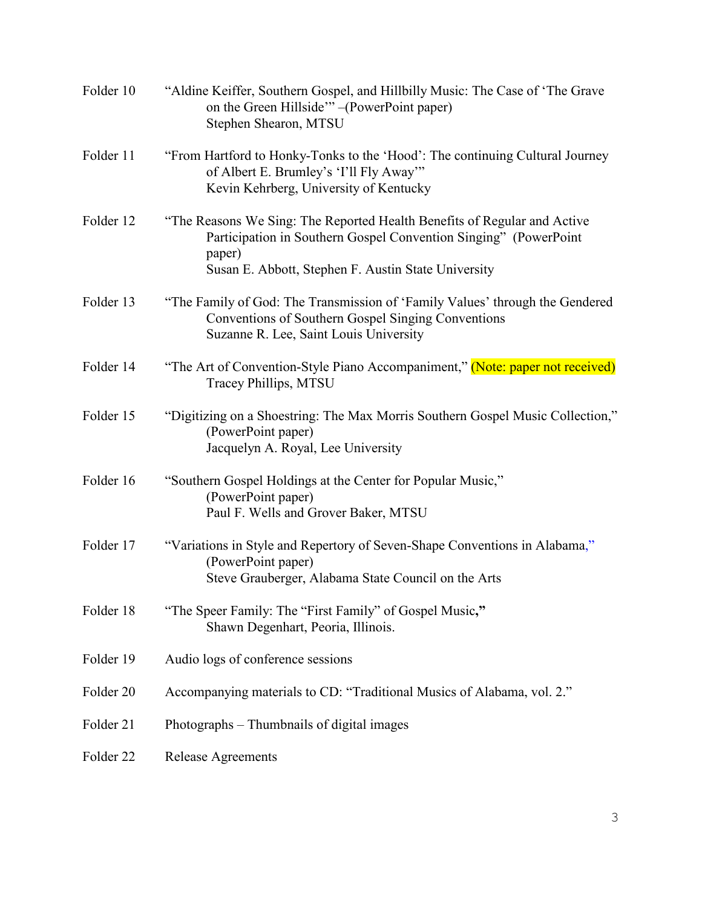| Folder 10 | "Aldine Keiffer, Southern Gospel, and Hillbilly Music: The Case of 'The Grave<br>on the Green Hillside" - (PowerPoint paper)<br>Stephen Shearon, MTSU                                                         |
|-----------|---------------------------------------------------------------------------------------------------------------------------------------------------------------------------------------------------------------|
| Folder 11 | "From Hartford to Honky-Tonks to the 'Hood': The continuing Cultural Journey<br>of Albert E. Brumley's 'I'll Fly Away'"<br>Kevin Kehrberg, University of Kentucky                                             |
| Folder 12 | "The Reasons We Sing: The Reported Health Benefits of Regular and Active<br>Participation in Southern Gospel Convention Singing" (PowerPoint<br>paper)<br>Susan E. Abbott, Stephen F. Austin State University |
| Folder 13 | "The Family of God: The Transmission of 'Family Values' through the Gendered<br>Conventions of Southern Gospel Singing Conventions<br>Suzanne R. Lee, Saint Louis University                                  |
| Folder 14 | "The Art of Convention-Style Piano Accompaniment," (Note: paper not received)<br>Tracey Phillips, MTSU                                                                                                        |
| Folder 15 | "Digitizing on a Shoestring: The Max Morris Southern Gospel Music Collection,"<br>(PowerPoint paper)<br>Jacquelyn A. Royal, Lee University                                                                    |
| Folder 16 | "Southern Gospel Holdings at the Center for Popular Music,"<br>(PowerPoint paper)<br>Paul F. Wells and Grover Baker, MTSU                                                                                     |
| Folder 17 | "Variations in Style and Repertory of Seven-Shape Conventions in Alabama,"<br>(PowerPoint paper)<br>Steve Grauberger, Alabama State Council on the Arts                                                       |
| Folder 18 | "The Speer Family: The "First Family" of Gospel Music,"<br>Shawn Degenhart, Peoria, Illinois.                                                                                                                 |
| Folder 19 | Audio logs of conference sessions                                                                                                                                                                             |
| Folder 20 | Accompanying materials to CD: "Traditional Musics of Alabama, vol. 2."                                                                                                                                        |
| Folder 21 | Photographs – Thumbnails of digital images                                                                                                                                                                    |
| Folder 22 | <b>Release Agreements</b>                                                                                                                                                                                     |